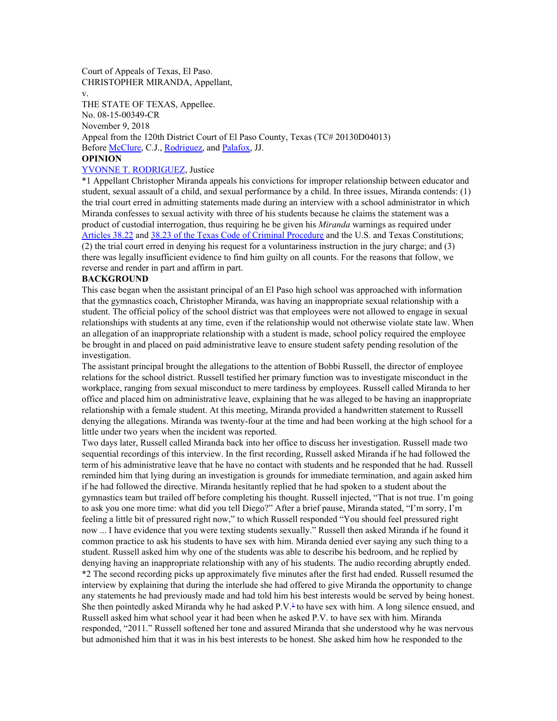Court of Appeals of Texas, El Paso. CHRISTOPHER MIRANDA, Appellant,

v.

THE STATE OF TEXAS, Appellee. No. 08-15-00349-CR November 9, 2018 Appeal from the 120th District Court of El Paso County, Texas (TC# 20130D04013) Before [McClure](https://1.next.westlaw.com/Link/Document/FullText?findType=h&pubNum=176284&cite=0175912901&originatingDoc=I265e8880e47b11e8a174b18b713fc6d4&refType=RQ&originationContext=document&transitionType=DocumentItem&contextData=(sc.AlertsClip)), C.J., [Rodriguez,](https://1.next.westlaw.com/Link/Document/FullText?findType=h&pubNum=176284&cite=0386618101&originatingDoc=I265e8880e47b11e8a174b18b713fc6d4&refType=RQ&originationContext=document&transitionType=DocumentItem&contextData=(sc.AlertsClip)) and [Palafox,](https://1.next.westlaw.com/Link/Document/FullText?findType=h&pubNum=176284&cite=0285361599&originatingDoc=I265e8880e47b11e8a174b18b713fc6d4&refType=RQ&originationContext=document&transitionType=DocumentItem&contextData=(sc.AlertsClip)) JJ.

## **OPINION**

## YVONNE T. [RODRIGUEZ](https://1.next.westlaw.com/Link/Document/FullText?findType=h&pubNum=176284&cite=0386618101&originatingDoc=I265e8880e47b11e8a174b18b713fc6d4&refType=RQ&originationContext=document&transitionType=DocumentItem&contextData=(sc.AlertsClip)), Justice

\*1 Appellant Christopher Miranda appeals his convictions for improper relationship between educator and student, sexual assault of a child, and sexual performance by a child. In three issues, Miranda contends: (1) the trial court erred in admitting statements made during an interview with a school administrator in which Miranda confesses to sexual activity with three of his students because he claims the statement was a product of custodial interrogation, thus requiring he be given his *Miranda* warnings as required under [Articles](https://1.next.westlaw.com/Link/Document/FullText?findType=L&pubNum=1000172&cite=TXCMART38.22&originatingDoc=I265e8880e47b11e8a174b18b713fc6d4&refType=LQ&originationContext=document&transitionType=DocumentItem&contextData=(sc.AlertsClip)) 38.22 and 38.23 of the Texas Code of Criminal [Procedure](https://1.next.westlaw.com/Link/Document/FullText?findType=L&pubNum=1000172&cite=TXCMART38.23&originatingDoc=I265e8880e47b11e8a174b18b713fc6d4&refType=LQ&originationContext=document&transitionType=DocumentItem&contextData=(sc.AlertsClip)) and the U.S. and Texas Constitutions; (2) the trial court erred in denying his request for a voluntariness instruction in the jury charge; and (3) there was legally insufficient evidence to find him guilty on all counts. For the reasons that follow, we reverse and render in part and affirm in part.

## **BACKGROUND**

This case began when the assistant principal of an El Paso high school was approached with information that the gymnastics coach, Christopher Miranda, was having an inappropriate sexual relationship with a student. The official policy of the school district was that employees were not allowed to engage in sexual relationships with students at any time, even if the relationship would not otherwise violate state law. When an allegation of an inappropriate relationship with a student is made, school policy required the employee be brought in and placed on paid administrative leave to ensure student safety pending resolution of the investigation.

The assistant principal brought the allegations to the attention of Bobbi Russell, the director of employee relations for the school district. Russell testified her primary function was to investigate misconduct in the workplace, ranging from sexual misconduct to mere tardiness by employees. Russell called Miranda to her office and placed him on administrative leave, explaining that he was alleged to be having an inappropriate relationship with a female student. At this meeting, Miranda provided a handwritten statement to Russell denying the allegations. Miranda was twenty-four at the time and had been working at the high school for a little under two years when the incident was reported.

Two days later, Russell called Miranda back into her office to discuss her investigation. Russell made two sequential recordings of this interview. In the first recording, Russell asked Miranda if he had followed the term of his administrative leave that he have no contact with students and he responded that he had. Russell reminded him that lying during an investigation is grounds for immediate termination, and again asked him if he had followed the directive. Miranda hesitantly replied that he had spoken to a student about the gymnastics team but trailed off before completing his thought. Russell injected, "That is not true. I'm going to ask you one more time: what did you tell Diego?" After a brief pause, Miranda stated, "I'm sorry, I'm feeling a little bit of pressured right now," to which Russell responded "You should feel pressured right now ... I have evidence that you were texting students sexually." Russell then asked Miranda if he found it common practice to ask his students to have sex with him. Miranda denied ever saying any such thing to a student. Russell asked him why one of the students was able to describe his bedroom, and he replied by denying having an inappropriate relationship with any of his students. The audio recording abruptly ended. \*2 The second recording picks up approximately five minutes after the first had ended. Russell resumed the interview by explaining that during the interlude she had offered to give Miranda the opportunity to change any statements he had previously made and had told him his best interests would be served by being honest. She then pointedly asked Miranda why he had asked P.V. [1](https://1.next.westlaw.com/Document/I265e8880e47b11e8a174b18b713fc6d4/View/FullText.html?navigationPath=Alert%2fv1%2flistNavigation%2fWestClipNext%2fi0ad81a3f00000167115a9c83b2cfb7b7%3ftransitionType%3dAlertsClip%26originationContext%3dSearch%2520Result%26contextData%3d%2528sc.AlertsClip%2529%26rank%3d4%26alertGuid%3di0ad083260000014cb89b9df34e1cba1a&listSource=Alert&list=WestClipNext&rank=4&originationContext=Search+Result&transitionType=AlertsClip&contextData=(sc.AlertsClip)&VR=3.0&RS=cblt1.0&alertGuid=i0ad083260000014cb89b9df34e1cba1a&__lrTS=20181116184848018#co_footnote_B00012045952856) to have sex with him. A long silence ensued, and Russell asked him what school year it had been when he asked P.V. to have sex with him. Miranda responded, "2011." Russell softened her tone and assured Miranda that she understood why he was nervous but admonished him that it was in his best interests to be honest. She asked him how he responded to the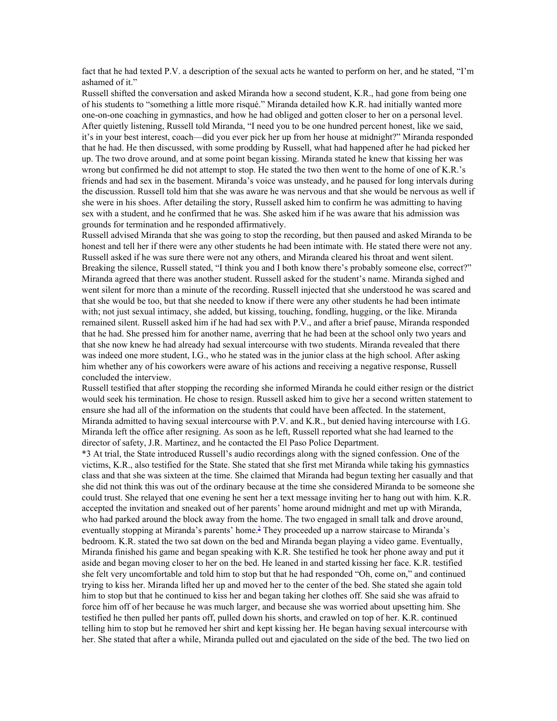fact that he had texted P.V. a description of the sexual acts he wanted to perform on her, and he stated, "I'm ashamed of it."

Russell shifted the conversation and asked Miranda how a second student, K.R., had gone from being one of his students to "something a little more risqué." Miranda detailed how K.R. had initially wanted more one-on-one coaching in gymnastics, and how he had obliged and gotten closer to her on a personal level. After quietly listening, Russell told Miranda, "I need you to be one hundred percent honest, like we said, it's in your best interest, coach—did you ever pick her up from her house at midnight?" Miranda responded that he had. He then discussed, with some prodding by Russell, what had happened after he had picked her up. The two drove around, and at some point began kissing. Miranda stated he knew that kissing her was wrong but confirmed he did not attempt to stop. He stated the two then went to the home of one of K.R.'s friends and had sex in the basement. Miranda's voice was unsteady, and he paused for long intervals during the discussion. Russell told him that she was aware he was nervous and that she would be nervous as well if she were in his shoes. After detailing the story, Russell asked him to confirm he was admitting to having sex with a student, and he confirmed that he was. She asked him if he was aware that his admission was grounds for termination and he responded affirmatively.

Russell advised Miranda that she was going to stop the recording, but then paused and asked Miranda to be honest and tell her if there were any other students he had been intimate with. He stated there were not any. Russell asked if he was sure there were not any others, and Miranda cleared his throat and went silent. Breaking the silence, Russell stated, "I think you and I both know there's probably someone else, correct?" Miranda agreed that there was another student. Russell asked for the student's name. Miranda sighed and went silent for more than a minute of the recording. Russell injected that she understood he was scared and that she would be too, but that she needed to know if there were any other students he had been intimate with; not just sexual intimacy, she added, but kissing, touching, fondling, hugging, or the like. Miranda remained silent. Russell asked him if he had had sex with P.V., and after a brief pause, Miranda responded that he had. She pressed him for another name, averring that he had been at the school only two years and that she now knew he had already had sexual intercourse with two students. Miranda revealed that there was indeed one more student, I.G., who he stated was in the junior class at the high school. After asking him whether any of his coworkers were aware of his actions and receiving a negative response, Russell concluded the interview.

Russell testified that after stopping the recording she informed Miranda he could either resign or the district would seek his termination. He chose to resign. Russell asked him to give her a second written statement to ensure she had all of the information on the students that could have been affected. In the statement, Miranda admitted to having sexual intercourse with P.V. and K.R., but denied having intercourse with I.G. Miranda left the office after resigning. As soon as he left, Russell reported what she had learned to the director of safety, J.R. Martinez, and he contacted the El Paso Police Department.

\*3 At trial, the State introduced Russell's audio recordings along with the signed confession. One of the victims, K.R., also testified for the State. She stated that she first met Miranda while taking his gymnastics class and that she was sixteen at the time. She claimed that Miranda had begun texting her casually and that she did not think this was out of the ordinary because at the time she considered Miranda to be someone she could trust. She relayed that one evening he sent her a text message inviting her to hang out with him. K.R. accepted the invitation and sneaked out of her parents' home around midnight and met up with Miranda, who had parked around the block away from the home. The two engaged in small talk and drove around, eventually stopping at Miranda's parents' home.<sup>[2](https://1.next.westlaw.com/Document/I265e8880e47b11e8a174b18b713fc6d4/View/FullText.html?navigationPath=Alert%2fv1%2flistNavigation%2fWestClipNext%2fi0ad81a3f00000167115a9c83b2cfb7b7%3ftransitionType%3dAlertsClip%26originationContext%3dSearch%2520Result%26contextData%3d%2528sc.AlertsClip%2529%26rank%3d4%26alertGuid%3di0ad083260000014cb89b9df34e1cba1a&listSource=Alert&list=WestClipNext&rank=4&originationContext=Search+Result&transitionType=AlertsClip&contextData=(sc.AlertsClip)&VR=3.0&RS=cblt1.0&alertGuid=i0ad083260000014cb89b9df34e1cba1a&__lrTS=20181116184848018#co_footnote_B00022045952856)</sup> They proceeded up a narrow staircase to Miranda's bedroom. K.R. stated the two sat down on the bed and Miranda began playing a video game. Eventually, Miranda finished his game and began speaking with K.R. She testified he took her phone away and put it aside and began moving closer to her on the bed. He leaned in and started kissing her face. K.R. testified she felt very uncomfortable and told him to stop but that he had responded "Oh, come on," and continued trying to kiss her. Miranda lifted her up and moved her to the center of the bed. She stated she again told him to stop but that he continued to kiss her and began taking her clothes off. She said she was afraid to force him off of her because he was much larger, and because she was worried about upsetting him. She testified he then pulled her pants off, pulled down his shorts, and crawled on top of her. K.R. continued telling him to stop but he removed her shirt and kept kissing her. He began having sexual intercourse with her. She stated that after a while, Miranda pulled out and ejaculated on the side of the bed. The two lied on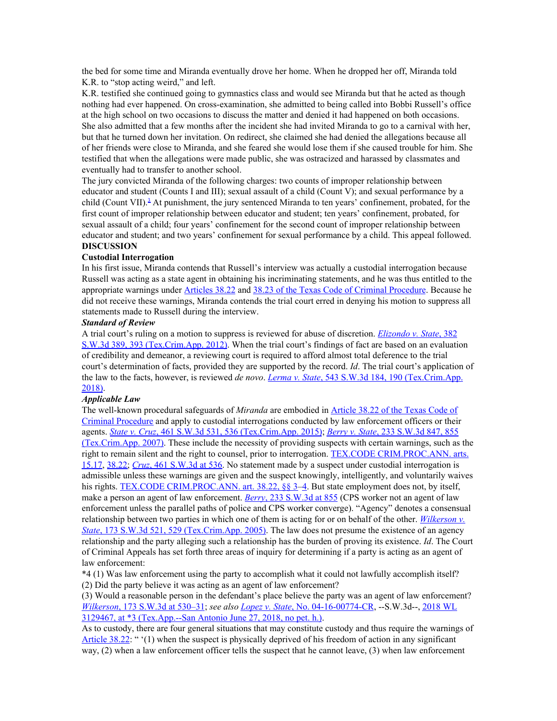the bed for some time and Miranda eventually drove her home. When he dropped her off, Miranda told K.R. to "stop acting weird," and left.

K.R. testified she continued going to gymnastics class and would see Miranda but that he acted as though nothing had ever happened. On cross-examination, she admitted to being called into Bobbi Russell's office at the high school on two occasions to discuss the matter and denied it had happened on both occasions. She also admitted that a few months after the incident she had invited Miranda to go to a carnival with her, but that he turned down her invitation. On redirect, she claimed she had denied the allegations because all of her friends were close to Miranda, and she feared she would lose them if she caused trouble for him. She testified that when the allegations were made public, she was ostracized and harassed by classmates and eventually had to transfer to another school.

The jury convicted Miranda of the following charges: two counts of improper relationship between educator and student (Counts I and III); sexual assault of a child (Count V); and sexual performance by a child (Count VII).<sup>[3](https://1.next.westlaw.com/Document/I265e8880e47b11e8a174b18b713fc6d4/View/FullText.html?navigationPath=Alert%2fv1%2flistNavigation%2fWestClipNext%2fi0ad81a3f00000167115a9c83b2cfb7b7%3ftransitionType%3dAlertsClip%26originationContext%3dSearch%2520Result%26contextData%3d%2528sc.AlertsClip%2529%26rank%3d4%26alertGuid%3di0ad083260000014cb89b9df34e1cba1a&listSource=Alert&list=WestClipNext&rank=4&originationContext=Search+Result&transitionType=AlertsClip&contextData=(sc.AlertsClip)&VR=3.0&RS=cblt1.0&alertGuid=i0ad083260000014cb89b9df34e1cba1a&__lrTS=20181116184848018#co_footnote_B00032045952856)</sup> At punishment, the jury sentenced Miranda to ten years' confinement, probated, for the first count of improper relationship between educator and student; ten years' confinement, probated, for sexual assault of a child; four years' confinement for the second count of improper relationship between educator and student; and two years' confinement for sexual performance by a child. This appeal followed. **DISCUSSION**

### **Custodial Interrogation**

In his first issue, Miranda contends that Russell's interview was actually a custodial interrogation because Russell was acting as a state agent in obtaining his incriminating statements, and he was thus entitled to the appropriate warnings under [Articles](https://1.next.westlaw.com/Link/Document/FullText?findType=L&pubNum=1000172&cite=TXCMART38.22&originatingDoc=I265e8880e47b11e8a174b18b713fc6d4&refType=LQ&originationContext=document&transitionType=DocumentItem&contextData=(sc.AlertsClip)) 38.22 and 38.23 of the Texas Code of Criminal [Procedure](https://1.next.westlaw.com/Link/Document/FullText?findType=L&pubNum=1000172&cite=TXCMART38.23&originatingDoc=I265e8880e47b11e8a174b18b713fc6d4&refType=LQ&originationContext=document&transitionType=DocumentItem&contextData=(sc.AlertsClip)). Because he did not receive these warnings, Miranda contends the trial court erred in denying his motion to suppress all statements made to Russell during the interview.

### *Standard of Review*

A trial court's ruling on a motion to suppress is reviewed for abuse of discretion. *[Elizondo](https://1.next.westlaw.com/Link/Document/FullText?findType=Y&serNum=2029149185&pubNum=0004644&originatingDoc=I265e8880e47b11e8a174b18b713fc6d4&refType=RP&fi=co_pp_sp_4644_393&originationContext=document&transitionType=DocumentItem&contextData=(sc.AlertsClip)#co_pp_sp_4644_393) v. State*, [382](https://1.next.westlaw.com/Link/Document/FullText?findType=Y&serNum=2029149185&pubNum=0004644&originatingDoc=I265e8880e47b11e8a174b18b713fc6d4&refType=RP&fi=co_pp_sp_4644_393&originationContext=document&transitionType=DocumentItem&contextData=(sc.AlertsClip)#co_pp_sp_4644_393) S.W.3d 389, 393 [\(Tex.Crim.App.](https://1.next.westlaw.com/Link/Document/FullText?findType=Y&serNum=2029149185&pubNum=0004644&originatingDoc=I265e8880e47b11e8a174b18b713fc6d4&refType=RP&fi=co_pp_sp_4644_393&originationContext=document&transitionType=DocumentItem&contextData=(sc.AlertsClip)#co_pp_sp_4644_393) 2012). When the trial court's findings of fact are based on an evaluation of credibility and demeanor, a reviewing court is required to afford almost total deference to the trial court's determination of facts, provided they are supported by the record. *Id*. The trial court's application of the law to the facts, however, is reviewed *de novo*. *[Lerma](https://1.next.westlaw.com/Link/Document/FullText?findType=Y&serNum=2043666104&pubNum=0004644&originatingDoc=I265e8880e47b11e8a174b18b713fc6d4&refType=RP&fi=co_pp_sp_4644_190&originationContext=document&transitionType=DocumentItem&contextData=(sc.AlertsClip)#co_pp_sp_4644_190) v[.](https://1.next.westlaw.com/Link/Document/FullText?findType=Y&serNum=2043666104&pubNum=0004644&originatingDoc=I265e8880e47b11e8a174b18b713fc6d4&refType=RP&fi=co_pp_sp_4644_190&originationContext=document&transitionType=DocumentItem&contextData=(sc.AlertsClip)#co_pp_sp_4644_190) [State](https://1.next.westlaw.com/Link/Document/FullText?findType=Y&serNum=2043666104&pubNum=0004644&originatingDoc=I265e8880e47b11e8a174b18b713fc6d4&refType=RP&fi=co_pp_sp_4644_190&originationContext=document&transitionType=DocumentItem&contextData=(sc.AlertsClip)#co_pp_sp_4644_190)*, 543 S.W.3d 184, 190 [\(Tex.Crim.App.](https://1.next.westlaw.com/Link/Document/FullText?findType=Y&serNum=2043666104&pubNum=0004644&originatingDoc=I265e8880e47b11e8a174b18b713fc6d4&refType=RP&fi=co_pp_sp_4644_190&originationContext=document&transitionType=DocumentItem&contextData=(sc.AlertsClip)#co_pp_sp_4644_190) [2018\)](https://1.next.westlaw.com/Link/Document/FullText?findType=Y&serNum=2043666104&pubNum=0004644&originatingDoc=I265e8880e47b11e8a174b18b713fc6d4&refType=RP&fi=co_pp_sp_4644_190&originationContext=document&transitionType=DocumentItem&contextData=(sc.AlertsClip)#co_pp_sp_4644_190).

### *Applicable Law*

The well-known procedural safeguards of *Miranda* are embodied in [Article](https://1.next.westlaw.com/Link/Document/FullText?findType=L&pubNum=1000172&cite=TXCMART38.22&originatingDoc=I265e8880e47b11e8a174b18b713fc6d4&refType=LQ&originationContext=document&transitionType=DocumentItem&contextData=(sc.AlertsClip)) 38.22 of the Texas Code of Criminal [Procedure](https://1.next.westlaw.com/Link/Document/FullText?findType=L&pubNum=1000172&cite=TXCMART38.22&originatingDoc=I265e8880e47b11e8a174b18b713fc6d4&refType=LQ&originationContext=document&transitionType=DocumentItem&contextData=(sc.AlertsClip)) and apply to custodial interrogations conducted by law enforcement officers or their agents. *[State](https://1.next.westlaw.com/Link/Document/FullText?findType=Y&serNum=2036269373&pubNum=0004644&originatingDoc=I265e8880e47b11e8a174b18b713fc6d4&refType=RP&fi=co_pp_sp_4644_536&originationContext=document&transitionType=DocumentItem&contextData=(sc.AlertsClip)#co_pp_sp_4644_536) v. Cruz*, 461 S.W.3d 531, 536 [\(Tex.Crim.App.](https://1.next.westlaw.com/Link/Document/FullText?findType=Y&serNum=2036269373&pubNum=0004644&originatingDoc=I265e8880e47b11e8a174b18b713fc6d4&refType=RP&fi=co_pp_sp_4644_536&originationContext=document&transitionType=DocumentItem&contextData=(sc.AlertsClip)#co_pp_sp_4644_536) 2015); *[Berry](https://1.next.westlaw.com/Link/Document/FullText?findType=Y&serNum=2012312850&pubNum=0004644&originatingDoc=I265e8880e47b11e8a174b18b713fc6d4&refType=RP&fi=co_pp_sp_4644_855&originationContext=document&transitionType=DocumentItem&contextData=(sc.AlertsClip)#co_pp_sp_4644_855) v. State*, 233 [S.W.3d](https://1.next.westlaw.com/Link/Document/FullText?findType=Y&serNum=2012312850&pubNum=0004644&originatingDoc=I265e8880e47b11e8a174b18b713fc6d4&refType=RP&fi=co_pp_sp_4644_855&originationContext=document&transitionType=DocumentItem&contextData=(sc.AlertsClip)#co_pp_sp_4644_855) 847, 855 [\(Tex.Crim.App.](https://1.next.westlaw.com/Link/Document/FullText?findType=Y&serNum=2012312850&pubNum=0004644&originatingDoc=I265e8880e47b11e8a174b18b713fc6d4&refType=RP&fi=co_pp_sp_4644_855&originationContext=document&transitionType=DocumentItem&contextData=(sc.AlertsClip)#co_pp_sp_4644_855) 2007). These include the necessity of providing suspects with certain warnings, such as the right to remain silent and the right to counsel, prior to interrogation. TEX.CODE [CRIM.PROC.ANN.](https://1.next.westlaw.com/Link/Document/FullText?findType=L&pubNum=1000172&cite=TXCMART15.17&originatingDoc=I265e8880e47b11e8a174b18b713fc6d4&refType=LQ&originationContext=document&transitionType=DocumentItem&contextData=(sc.AlertsClip)) arts. [15.17](https://1.next.westlaw.com/Link/Document/FullText?findType=L&pubNum=1000172&cite=TXCMART15.17&originatingDoc=I265e8880e47b11e8a174b18b713fc6d4&refType=LQ&originationContext=document&transitionType=DocumentItem&contextData=(sc.AlertsClip)), [38.22;](https://1.next.westlaw.com/Link/Document/FullText?findType=L&pubNum=1000172&cite=TXCMART38.22&originatingDoc=I265e8880e47b11e8a174b18b713fc6d4&refType=LQ&originationContext=document&transitionType=DocumentItem&contextData=(sc.AlertsClip)) *[Cruz](https://1.next.westlaw.com/Link/Document/FullText?findType=Y&serNum=2036269373&pubNum=0004644&originatingDoc=I265e8880e47b11e8a174b18b713fc6d4&refType=RP&fi=co_pp_sp_4644_536&originationContext=document&transitionType=DocumentItem&contextData=(sc.AlertsClip)#co_pp_sp_4644_536)*, 461 [S.W.3d](https://1.next.westlaw.com/Link/Document/FullText?findType=Y&serNum=2036269373&pubNum=0004644&originatingDoc=I265e8880e47b11e8a174b18b713fc6d4&refType=RP&fi=co_pp_sp_4644_536&originationContext=document&transitionType=DocumentItem&contextData=(sc.AlertsClip)#co_pp_sp_4644_536) at 536. No statement made by a suspect under custodial interrogation is admissible unless these warnings are given and the suspect knowingly, intelligently, and voluntarily waives his rights. TEX.CODE [CRIM.PROC.ANN.](https://1.next.westlaw.com/Link/Document/FullText?findType=L&pubNum=1000172&cite=TXCMART38.22&originatingDoc=I265e8880e47b11e8a174b18b713fc6d4&refType=LQ&originationContext=document&transitionType=DocumentItem&contextData=(sc.AlertsClip)) art. 38.22, §§ 3-4. But state employment does not, by itself, make a person an agent of law enforcement. *[Berry](https://1.next.westlaw.com/Link/Document/FullText?findType=Y&serNum=2012312850&pubNum=0004644&originatingDoc=I265e8880e47b11e8a174b18b713fc6d4&refType=RP&fi=co_pp_sp_4644_855&originationContext=document&transitionType=DocumentItem&contextData=(sc.AlertsClip)#co_pp_sp_4644_855)*, 233 [S.W.3d](https://1.next.westlaw.com/Link/Document/FullText?findType=Y&serNum=2012312850&pubNum=0004644&originatingDoc=I265e8880e47b11e8a174b18b713fc6d4&refType=RP&fi=co_pp_sp_4644_855&originationContext=document&transitionType=DocumentItem&contextData=(sc.AlertsClip)#co_pp_sp_4644_855) at 855 (CPS worker not an agent of law enforcement unless the parallel paths of police and CPS worker converge). "Agency" denotes a consensual relationship between two parties in which one of them is acting for or on behalf of the other. *[Wilkerson](https://1.next.westlaw.com/Link/Document/FullText?findType=Y&serNum=2007422098&pubNum=0004644&originatingDoc=I265e8880e47b11e8a174b18b713fc6d4&refType=RP&fi=co_pp_sp_4644_529&originationContext=document&transitionType=DocumentItem&contextData=(sc.AlertsClip)#co_pp_sp_4644_529) v. [State](https://1.next.westlaw.com/Link/Document/FullText?findType=Y&serNum=2007422098&pubNum=0004644&originatingDoc=I265e8880e47b11e8a174b18b713fc6d4&refType=RP&fi=co_pp_sp_4644_529&originationContext=document&transitionType=DocumentItem&contextData=(sc.AlertsClip)#co_pp_sp_4644_529)*, 173 S.W.3d 521, 529 [\(Tex.Crim.App.](https://1.next.westlaw.com/Link/Document/FullText?findType=Y&serNum=2007422098&pubNum=0004644&originatingDoc=I265e8880e47b11e8a174b18b713fc6d4&refType=RP&fi=co_pp_sp_4644_529&originationContext=document&transitionType=DocumentItem&contextData=(sc.AlertsClip)#co_pp_sp_4644_529) 2005). The law does not presume the existence of an agency relationship and the party alleging such a relationship has the burden of proving its existence. *Id*. The Court of Criminal Appeals has set forth three areas of inquiry for determining if a party is acting as an agent of law enforcement:

\*4 (1) Was law enforcement using the party to accomplish what it could not lawfully accomplish itself? (2) Did the party believe it was acting as an agent of law enforcement?

(3) Would a reasonable person in the defendant's place believe the party was an agent of law enforcement? *[Wilkerson](https://1.next.westlaw.com/Link/Document/FullText?findType=Y&serNum=2007422098&pubNum=0004644&originatingDoc=I265e8880e47b11e8a174b18b713fc6d4&refType=RP&fi=co_pp_sp_4644_530&originationContext=document&transitionType=DocumentItem&contextData=(sc.AlertsClip)#co_pp_sp_4644_530)*, 173 [S.W.3d](https://1.next.westlaw.com/Link/Document/FullText?findType=Y&serNum=2007422098&pubNum=0004644&originatingDoc=I265e8880e47b11e8a174b18b713fc6d4&refType=RP&fi=co_pp_sp_4644_530&originationContext=document&transitionType=DocumentItem&contextData=(sc.AlertsClip)#co_pp_sp_4644_530) at 530–31; *see also [Lopez](https://1.next.westlaw.com/Link/Document/FullText?findType=Y&serNum=2044821825&pubNum=0004031&originatingDoc=I265e8880e47b11e8a174b18b713fc6d4&refType=RP&originationContext=document&transitionType=DocumentItem&contextData=(sc.AlertsClip)) v. State*, No. [04-16-00774-CR](https://1.next.westlaw.com/Link/Document/FullText?findType=Y&serNum=2044821825&pubNum=0004031&originatingDoc=I265e8880e47b11e8a174b18b713fc6d4&refType=RP&originationContext=document&transitionType=DocumentItem&contextData=(sc.AlertsClip)), --S.W.3d--, [2018](https://1.next.westlaw.com/Link/Document/FullText?findType=Y&serNum=2044821825&pubNum=0000999&originatingDoc=I265e8880e47b11e8a174b18b713fc6d4&refType=RP&originationContext=document&transitionType=DocumentItem&contextData=(sc.AlertsClip)) WL 3129467, at \*3 [\(Tex.App.--San](https://1.next.westlaw.com/Link/Document/FullText?findType=Y&serNum=2044821825&pubNum=0000999&originatingDoc=I265e8880e47b11e8a174b18b713fc6d4&refType=RP&originationContext=document&transitionType=DocumentItem&contextData=(sc.AlertsClip)) Antonio June 27, 2018, no pet. h.).

As to custody, there are four general situations that may constitute custody and thus require the warnings of [Article](https://1.next.westlaw.com/Link/Document/FullText?findType=L&pubNum=1000172&cite=TXCMART38.22&originatingDoc=I265e8880e47b11e8a174b18b713fc6d4&refType=LQ&originationContext=document&transitionType=DocumentItem&contextData=(sc.AlertsClip)) 38.22: " (1) when the suspect is physically deprived of his freedom of action in any significant way, (2) when a law enforcement officer tells the suspect that he cannot leave, (3) when law enforcement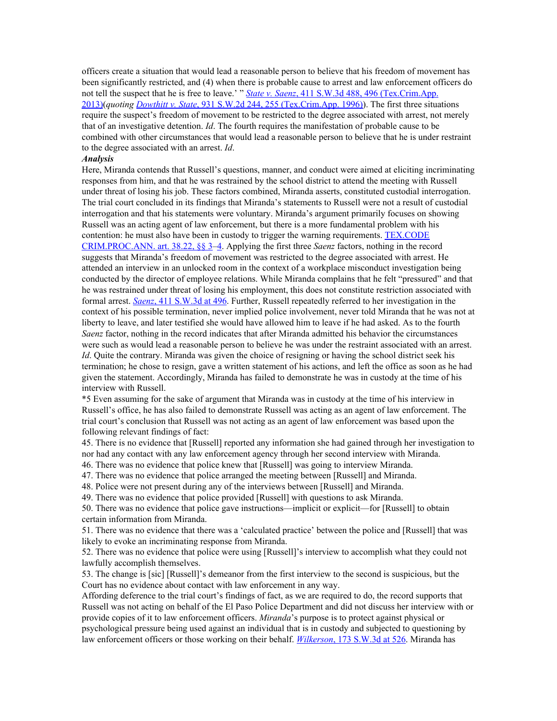officers create a situation that would lead a reasonable person to believe that his freedom of movement has been significantly restricted, and (4) when there is probable cause to arrest and law enforcement officers do not tell the suspect that he is free to leave.' " *State v. [Saenz](https://1.next.westlaw.com/Link/Document/FullText?findType=Y&serNum=2031828821&pubNum=0004644&originatingDoc=I265e8880e47b11e8a174b18b713fc6d4&refType=RP&fi=co_pp_sp_4644_496&originationContext=document&transitionType=DocumentItem&contextData=(sc.AlertsClip)#co_pp_sp_4644_496)*, 411 S.W.3d 488, 496 [\(Tex.Crim.App.](https://1.next.westlaw.com/Link/Document/FullText?findType=Y&serNum=2031828821&pubNum=0004644&originatingDoc=I265e8880e47b11e8a174b18b713fc6d4&refType=RP&fi=co_pp_sp_4644_496&originationContext=document&transitionType=DocumentItem&contextData=(sc.AlertsClip)#co_pp_sp_4644_496) [2013\)](https://1.next.westlaw.com/Link/Document/FullText?findType=Y&serNum=2031828821&pubNum=0004644&originatingDoc=I265e8880e47b11e8a174b18b713fc6d4&refType=RP&fi=co_pp_sp_4644_496&originationContext=document&transitionType=DocumentItem&contextData=(sc.AlertsClip)#co_pp_sp_4644_496)(*quoting [Dowthitt](https://1.next.westlaw.com/Link/Document/FullText?findType=Y&serNum=1996142725&pubNum=0000713&originatingDoc=I265e8880e47b11e8a174b18b713fc6d4&refType=RP&fi=co_pp_sp_713_255&originationContext=document&transitionType=DocumentItem&contextData=(sc.AlertsClip)#co_pp_sp_713_255) v. State*, 931 S.W.2d 244, 255 [\(Tex.Crim.App.](https://1.next.westlaw.com/Link/Document/FullText?findType=Y&serNum=1996142725&pubNum=0000713&originatingDoc=I265e8880e47b11e8a174b18b713fc6d4&refType=RP&fi=co_pp_sp_713_255&originationContext=document&transitionType=DocumentItem&contextData=(sc.AlertsClip)#co_pp_sp_713_255) 1996)). The first three situations require the suspect's freedom of movement to be restricted to the degree associated with arrest, not merely that of an investigative detention. *Id*. The fourth requires the manifestation of probable cause to be combined with other circumstances that would lead a reasonable person to believe that he is under restraint to the degree associated with an arrest. *Id*.

#### *Analysis*

Here, Miranda contends that Russell's questions, manner, and conduct were aimed at eliciting incriminating responses from him, and that he was restrained by the school district to attend the meeting with Russell under threat of losing his job. These factors combined, Miranda asserts, constituted custodial interrogation. The trial court concluded in its findings that Miranda's statements to Russell were not a result of custodial interrogation and that his statements were voluntary. Miranda's argument primarily focuses on showing Russell was an acting agent of law enforcement, but there is a more fundamental problem with his contention: he must also have been in custody to trigger the warning requirements. [TEX.CODE](https://1.next.westlaw.com/Link/Document/FullText?findType=L&pubNum=1000172&cite=TXCMART38.22&originatingDoc=I265e8880e47b11e8a174b18b713fc6d4&refType=LQ&originationContext=document&transitionType=DocumentItem&contextData=(sc.AlertsClip)) [CRIM.PROC.ANN.](https://1.next.westlaw.com/Link/Document/FullText?findType=L&pubNum=1000172&cite=TXCMART38.22&originatingDoc=I265e8880e47b11e8a174b18b713fc6d4&refType=LQ&originationContext=document&transitionType=DocumentItem&contextData=(sc.AlertsClip)) art. 38.22, §§ 3[–4.](https://1.next.westlaw.com/Link/Document/FullText?findType=L&pubNum=1000172&cite=TXCMART38.22&originatingDoc=I265e8880e47b11e8a174b18b713fc6d4&refType=LQ&originationContext=document&transitionType=DocumentItem&contextData=(sc.AlertsClip)) Applying the first three *Saenz* factors, nothing in the record suggests that Miranda's freedom of movement was restricted to the degree associated with arrest. He attended an interview in an unlocked room in the context of a workplace misconduct investigation being conducted by the director of employee relations. While Miranda complains that he felt "pressured" and that he was restrained under threat of losing his employment, this does not constitute restriction associated with formal arrest. *[Saenz](https://1.next.westlaw.com/Link/Document/FullText?findType=Y&serNum=2031828821&pubNum=0004644&originatingDoc=I265e8880e47b11e8a174b18b713fc6d4&refType=RP&fi=co_pp_sp_4644_496&originationContext=document&transitionType=DocumentItem&contextData=(sc.AlertsClip)#co_pp_sp_4644_496)*, 411 [S.W.3d](https://1.next.westlaw.com/Link/Document/FullText?findType=Y&serNum=2031828821&pubNum=0004644&originatingDoc=I265e8880e47b11e8a174b18b713fc6d4&refType=RP&fi=co_pp_sp_4644_496&originationContext=document&transitionType=DocumentItem&contextData=(sc.AlertsClip)#co_pp_sp_4644_496) at 496. Further, Russell repeatedly referred to her investigation in the context of his possible termination, never implied police involvement, never told Miranda that he was not at liberty to leave, and later testified she would have allowed him to leave if he had asked. As to the fourth *Saenz* factor, nothing in the record indicates that after Miranda admitted his behavior the circumstances were such as would lead a reasonable person to believe he was under the restraint associated with an arrest. *Id*. Quite the contrary. Miranda was given the choice of resigning or having the school district seek his termination; he chose to resign, gave a written statement of his actions, and left the office as soon as he had given the statement. Accordingly, Miranda has failed to demonstrate he was in custody at the time of his interview with Russell.

\*5 Even assuming for the sake of argument that Miranda was in custody at the time of his interview in Russell's office, he has also failed to demonstrate Russell was acting as an agent of law enforcement. The trial court's conclusion that Russell was not acting as an agent of law enforcement was based upon the following relevant findings of fact:

45. There is no evidence that [Russell] reported any information she had gained through her investigation to nor had any contact with any law enforcement agency through her second interview with Miranda.

46. There was no evidence that police knew that [Russell] was going to interview Miranda.

47. There was no evidence that police arranged the meeting between [Russell] and Miranda.

48. Police were not present during any of the interviews between [Russell] and Miranda.

49. There was no evidence that police provided [Russell] with questions to ask Miranda.

50. There was no evidence that police gave instructions—implicit or explicit—for [Russell] to obtain certain information from Miranda.

51. There was no evidence that there was a 'calculated practice' between the police and [Russell] that was likely to evoke an incriminating response from Miranda.

52. There was no evidence that police were using [Russell]'s interview to accomplish what they could not lawfully accomplish themselves.

53. The change is [sic] [Russell]'s demeanor from the first interview to the second is suspicious, but the Court has no evidence about contact with law enforcement in any way.

Affording deference to the trial court's findings of fact, as we are required to do, the record supports that Russell was not acting on behalf of the El Paso Police Department and did not discuss her interview with or provide copies of it to law enforcement officers. *Miranda*'s purpose is to protect against physical or psychological pressure being used against an individual that is in custody and subjected to questioning by law enforcement officers or those working on their behalf. *[Wilkerson](https://1.next.westlaw.com/Link/Document/FullText?findType=Y&serNum=2007422098&pubNum=0004644&originatingDoc=I265e8880e47b11e8a174b18b713fc6d4&refType=RP&fi=co_pp_sp_4644_526&originationContext=document&transitionType=DocumentItem&contextData=(sc.AlertsClip)#co_pp_sp_4644_526)*, 173 [S.W.3d](https://1.next.westlaw.com/Link/Document/FullText?findType=Y&serNum=2007422098&pubNum=0004644&originatingDoc=I265e8880e47b11e8a174b18b713fc6d4&refType=RP&fi=co_pp_sp_4644_526&originationContext=document&transitionType=DocumentItem&contextData=(sc.AlertsClip)#co_pp_sp_4644_526) at 526. Miranda has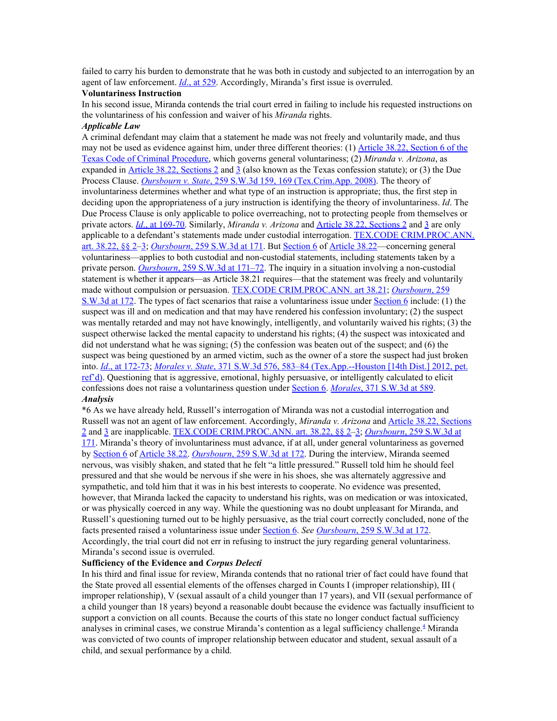failed to carry his burden to demonstrate that he was both in custody and subjected to an interrogation by an agent of law enforcement. *[Id](https://1.next.westlaw.com/Link/Document/FullText?findType=Y&serNum=2007422098&pubNum=0004644&originatingDoc=I265e8880e47b11e8a174b18b713fc6d4&refType=RP&fi=co_pp_sp_4644_529&originationContext=document&transitionType=DocumentItem&contextData=(sc.AlertsClip)#co_pp_sp_4644_529)*., at [529.](https://1.next.westlaw.com/Link/Document/FullText?findType=Y&serNum=2007422098&pubNum=0004644&originatingDoc=I265e8880e47b11e8a174b18b713fc6d4&refType=RP&fi=co_pp_sp_4644_529&originationContext=document&transitionType=DocumentItem&contextData=(sc.AlertsClip)#co_pp_sp_4644_529) Accordingly, Miranda's first issue is overruled.

## **Voluntariness Instruction**

In his second issue, Miranda contends the trial court erred in failing to include his requested instructions on the voluntariness of his confession and waiver of his *Miranda* rights.

## *Applicable Law*

A criminal defendant may claim that a statement he made was not freely and voluntarily made, and thus may not be used as evidence against him, under three different theories: (1) Article 38.22, [Section](https://1.next.westlaw.com/Link/Document/FullText?findType=L&pubNum=1000172&cite=TXCMART38.22&originatingDoc=I265e8880e47b11e8a174b18b713fc6d4&refType=LQ&originationContext=document&transitionType=DocumentItem&contextData=(sc.AlertsClip)) 6 of the Texas Code of Criminal [Procedure,](https://1.next.westlaw.com/Link/Document/FullText?findType=L&pubNum=1000172&cite=TXCMART38.22&originatingDoc=I265e8880e47b11e8a174b18b713fc6d4&refType=LQ&originationContext=document&transitionType=DocumentItem&contextData=(sc.AlertsClip)) which governs general voluntariness; (2) *Miranda v. Arizona*, as expanded in Article 38.22, [Sections](https://1.next.westlaw.com/Link/Document/FullText?findType=L&pubNum=1000172&cite=TXCMART38.22&originatingDoc=I265e8880e47b11e8a174b18b713fc6d4&refType=LQ&originationContext=document&transitionType=DocumentItem&contextData=(sc.AlertsClip)) 2 and  $\frac{3}{2}$  $\frac{3}{2}$  $\frac{3}{2}$  (also known as the Texas confession statute); or (3) the Due Process Clause. *[Oursbourn](https://1.next.westlaw.com/Link/Document/FullText?findType=Y&serNum=2016236427&pubNum=0004644&originatingDoc=I265e8880e47b11e8a174b18b713fc6d4&refType=RP&fi=co_pp_sp_4644_169&originationContext=document&transitionType=DocumentItem&contextData=(sc.AlertsClip)#co_pp_sp_4644_169) v. State*, 259 S.W.3d 159, 169 [\(Tex.Crim.App.](https://1.next.westlaw.com/Link/Document/FullText?findType=Y&serNum=2016236427&pubNum=0004644&originatingDoc=I265e8880e47b11e8a174b18b713fc6d4&refType=RP&fi=co_pp_sp_4644_169&originationContext=document&transitionType=DocumentItem&contextData=(sc.AlertsClip)#co_pp_sp_4644_169) 2008). The theory of involuntariness determines whether and what type of an instruction is appropriate; thus, the first step in deciding upon the appropriateness of a jury instruction is identifying the theory of involuntariness. *Id*. The Due Process Clause is only applicable to police overreaching, not to protecting people from themselves or private actors. *[Id](https://1.next.westlaw.com/Link/Document/FullText?findType=Y&serNum=2016236427&pubNum=0004644&originatingDoc=I265e8880e47b11e8a174b18b713fc6d4&refType=RP&fi=co_pp_sp_4644_169&originationContext=document&transitionType=DocumentItem&contextData=(sc.AlertsClip)#co_pp_sp_4644_169)*., at [169-70.](https://1.next.westlaw.com/Link/Document/FullText?findType=Y&serNum=2016236427&pubNum=0004644&originatingDoc=I265e8880e47b11e8a174b18b713fc6d4&refType=RP&fi=co_pp_sp_4644_169&originationContext=document&transitionType=DocumentItem&contextData=(sc.AlertsClip)#co_pp_sp_4644_169) Similarly, *Miranda v. Arizona* and Article 38.22, [Sections](https://1.next.westlaw.com/Link/Document/FullText?findType=L&pubNum=1000172&cite=TXCMART38.22&originatingDoc=I265e8880e47b11e8a174b18b713fc6d4&refType=LQ&originationContext=document&transitionType=DocumentItem&contextData=(sc.AlertsClip)) 2 and [3](https://1.next.westlaw.com/Link/Document/FullText?findType=L&pubNum=1000172&cite=TXCMART38.22&originatingDoc=I265e8880e47b11e8a174b18b713fc6d4&refType=LQ&originationContext=document&transitionType=DocumentItem&contextData=(sc.AlertsClip)) are only applicable to a defendant's statements made under custodial interrogation. TEX.CODE [CRIM.PROC.ANN.](https://1.next.westlaw.com/Link/Document/FullText?findType=L&pubNum=1000172&cite=TXCMART38.22&originatingDoc=I265e8880e47b11e8a174b18b713fc6d4&refType=LQ&originationContext=document&transitionType=DocumentItem&contextData=(sc.AlertsClip)) art. [38.22,](https://1.next.westlaw.com/Link/Document/FullText?findType=L&pubNum=1000172&cite=TXCMART38.22&originatingDoc=I265e8880e47b11e8a174b18b713fc6d4&refType=LQ&originationContext=document&transitionType=DocumentItem&contextData=(sc.AlertsClip)) §§ 2[–3](https://1.next.westlaw.com/Link/Document/FullText?findType=L&pubNum=1000172&cite=TXCMART38.22&originatingDoc=I265e8880e47b11e8a174b18b713fc6d4&refType=LQ&originationContext=document&transitionType=DocumentItem&contextData=(sc.AlertsClip)); *[Oursbourn](https://1.next.westlaw.com/Link/Document/FullText?findType=Y&serNum=2016236427&pubNum=0004644&originatingDoc=I265e8880e47b11e8a174b18b713fc6d4&refType=RP&fi=co_pp_sp_4644_171&originationContext=document&transitionType=DocumentItem&contextData=(sc.AlertsClip)#co_pp_sp_4644_171)*, 259 [S.W.3d](https://1.next.westlaw.com/Link/Document/FullText?findType=Y&serNum=2016236427&pubNum=0004644&originatingDoc=I265e8880e47b11e8a174b18b713fc6d4&refType=RP&fi=co_pp_sp_4644_171&originationContext=document&transitionType=DocumentItem&contextData=(sc.AlertsClip)#co_pp_sp_4644_171) at 171. But [Section](https://1.next.westlaw.com/Link/Document/FullText?findType=L&pubNum=1000172&cite=TXCMART38.22&originatingDoc=I265e8880e47b11e8a174b18b713fc6d4&refType=LQ&originationContext=document&transitionType=DocumentItem&contextData=(sc.AlertsClip)) 6 of [Article](https://1.next.westlaw.com/Link/Document/FullText?findType=L&pubNum=1000172&cite=TXCMART38.22&originatingDoc=I265e8880e47b11e8a174b18b713fc6d4&refType=LQ&originationContext=document&transitionType=DocumentItem&contextData=(sc.AlertsClip)) 38.22—concerning general voluntariness—applies to both custodial and non-custodial statements, including statements taken by a private person. *[Oursbourn](https://1.next.westlaw.com/Link/Document/FullText?findType=Y&serNum=2016236427&pubNum=0004644&originatingDoc=I265e8880e47b11e8a174b18b713fc6d4&refType=RP&fi=co_pp_sp_4644_171&originationContext=document&transitionType=DocumentItem&contextData=(sc.AlertsClip)#co_pp_sp_4644_171)*, 259 [S.W.3d](https://1.next.westlaw.com/Link/Document/FullText?findType=Y&serNum=2016236427&pubNum=0004644&originatingDoc=I265e8880e47b11e8a174b18b713fc6d4&refType=RP&fi=co_pp_sp_4644_171&originationContext=document&transitionType=DocumentItem&contextData=(sc.AlertsClip)#co_pp_sp_4644_171) at 171–72. The inquiry in a situation involving a non-custodial statement is whether it appears—as Article 38.21 requires—that the statement was freely and voluntarily made without compulsion or persuasion. TEX.CODE [CRIM.PROC.ANN.](https://1.next.westlaw.com/Link/Document/FullText?findType=L&pubNum=1000172&cite=TXCMART38.21&originatingDoc=I265e8880e47b11e8a174b18b713fc6d4&refType=LQ&originationContext=document&transitionType=DocumentItem&contextData=(sc.AlertsClip)) art 38.21; *[Oursbourn](https://1.next.westlaw.com/Link/Document/FullText?findType=Y&serNum=2016236427&pubNum=0004644&originatingDoc=I265e8880e47b11e8a174b18b713fc6d4&refType=RP&fi=co_pp_sp_4644_172&originationContext=document&transitionType=DocumentItem&contextData=(sc.AlertsClip)#co_pp_sp_4644_172)*, [259](https://1.next.westlaw.com/Link/Document/FullText?findType=Y&serNum=2016236427&pubNum=0004644&originatingDoc=I265e8880e47b11e8a174b18b713fc6d4&refType=RP&fi=co_pp_sp_4644_172&originationContext=document&transitionType=DocumentItem&contextData=(sc.AlertsClip)#co_pp_sp_4644_172) [S.W.3d](https://1.next.westlaw.com/Link/Document/FullText?findType=Y&serNum=2016236427&pubNum=0004644&originatingDoc=I265e8880e47b11e8a174b18b713fc6d4&refType=RP&fi=co_pp_sp_4644_172&originationContext=document&transitionType=DocumentItem&contextData=(sc.AlertsClip)#co_pp_sp_4644_172) at 172. The types of fact scenarios that raise a voluntariness issue under [Section](https://1.next.westlaw.com/Link/Document/FullText?findType=L&pubNum=1000172&cite=TXCMART38.22&originatingDoc=I265e8880e47b11e8a174b18b713fc6d4&refType=LQ&originationContext=document&transitionType=DocumentItem&contextData=(sc.AlertsClip)) 6 include: (1) the suspect was ill and on medication and that may have rendered his confession involuntary; (2) the suspect was mentally retarded and may not have knowingly, intelligently, and voluntarily waived his rights; (3) the suspect otherwise lacked the mental capacity to understand his rights; (4) the suspect was intoxicated and did not understand what he was signing; (5) the confession was beaten out of the suspect; and (6) the suspect was being questioned by an armed victim, such as the owner of a store the suspect had just broken into. *[Id](https://1.next.westlaw.com/Link/Document/FullText?findType=Y&serNum=2016236427&pubNum=0004644&originatingDoc=I265e8880e47b11e8a174b18b713fc6d4&refType=RP&fi=co_pp_sp_4644_172&originationContext=document&transitionType=DocumentItem&contextData=(sc.AlertsClip)#co_pp_sp_4644_172)*., at [172-73](https://1.next.westlaw.com/Link/Document/FullText?findType=Y&serNum=2016236427&pubNum=0004644&originatingDoc=I265e8880e47b11e8a174b18b713fc6d4&refType=RP&fi=co_pp_sp_4644_172&originationContext=document&transitionType=DocumentItem&contextData=(sc.AlertsClip)#co_pp_sp_4644_172); *[Morales](https://1.next.westlaw.com/Link/Document/FullText?findType=Y&serNum=2027905096&pubNum=0004644&originatingDoc=I265e8880e47b11e8a174b18b713fc6d4&refType=RP&fi=co_pp_sp_4644_583&originationContext=document&transitionType=DocumentItem&contextData=(sc.AlertsClip)#co_pp_sp_4644_583) v. State*, 371 S.W.3d 576, 583–84 [\(Tex.App.--Houston](https://1.next.westlaw.com/Link/Document/FullText?findType=Y&serNum=2027905096&pubNum=0004644&originatingDoc=I265e8880e47b11e8a174b18b713fc6d4&refType=RP&fi=co_pp_sp_4644_583&originationContext=document&transitionType=DocumentItem&contextData=(sc.AlertsClip)#co_pp_sp_4644_583) [14th Dist.] 2012, pet.  $ref d$ ). Questioning that is aggressive, emotional, highly persuasive, or intelligently calculated to elicit confessions does not raise a voluntariness question under [Section](https://1.next.westlaw.com/Link/Document/FullText?findType=L&pubNum=1000172&cite=TXCMART38.22&originatingDoc=I265e8880e47b11e8a174b18b713fc6d4&refType=LQ&originationContext=document&transitionType=DocumentItem&contextData=(sc.AlertsClip)) 6. *[Morales](https://1.next.westlaw.com/Link/Document/FullText?findType=Y&serNum=2027905096&pubNum=0004644&originatingDoc=I265e8880e47b11e8a174b18b713fc6d4&refType=RP&fi=co_pp_sp_4644_589&originationContext=document&transitionType=DocumentItem&contextData=(sc.AlertsClip)#co_pp_sp_4644_589)*, 371 [S.W.3d](https://1.next.westlaw.com/Link/Document/FullText?findType=Y&serNum=2027905096&pubNum=0004644&originatingDoc=I265e8880e47b11e8a174b18b713fc6d4&refType=RP&fi=co_pp_sp_4644_589&originationContext=document&transitionType=DocumentItem&contextData=(sc.AlertsClip)#co_pp_sp_4644_589) at 589. *Analysis*

\*6 As we have already held, Russell's interrogation of Miranda was not a custodial interrogation and Russell was not an agent of law enforcement. Accordingly, *Miranda v. Arizona* and Article 38.22, [Sections](https://1.next.westlaw.com/Link/Document/FullText?findType=L&pubNum=1000172&cite=TXCMART38.22&originatingDoc=I265e8880e47b11e8a174b18b713fc6d4&refType=LQ&originationContext=document&transitionType=DocumentItem&contextData=(sc.AlertsClip)) [2](https://1.next.westlaw.com/Link/Document/FullText?findType=L&pubNum=1000172&cite=TXCMART38.22&originatingDoc=I265e8880e47b11e8a174b18b713fc6d4&refType=LQ&originationContext=document&transitionType=DocumentItem&contextData=(sc.AlertsClip)) and [3](https://1.next.westlaw.com/Link/Document/FullText?findType=L&pubNum=1000172&cite=TXCMART38.22&originatingDoc=I265e8880e47b11e8a174b18b713fc6d4&refType=LQ&originationContext=document&transitionType=DocumentItem&contextData=(sc.AlertsClip)) are inapplicable. TEX.CODE [CRIM.PROC.ANN.](https://1.next.westlaw.com/Link/Document/FullText?findType=L&pubNum=1000172&cite=TXCMART38.22&originatingDoc=I265e8880e47b11e8a174b18b713fc6d4&refType=LQ&originationContext=document&transitionType=DocumentItem&contextData=(sc.AlertsClip)) art. 38.22, §§ 2–[3;](https://1.next.westlaw.com/Link/Document/FullText?findType=L&pubNum=1000172&cite=TXCMART38.22&originatingDoc=I265e8880e47b11e8a174b18b713fc6d4&refType=LQ&originationContext=document&transitionType=DocumentItem&contextData=(sc.AlertsClip)) *[Oursbourn](https://1.next.westlaw.com/Link/Document/FullText?findType=Y&serNum=2016236427&pubNum=0004644&originatingDoc=I265e8880e47b11e8a174b18b713fc6d4&refType=RP&fi=co_pp_sp_4644_171&originationContext=document&transitionType=DocumentItem&contextData=(sc.AlertsClip)#co_pp_sp_4644_171)*, 259 [S.W.3d](https://1.next.westlaw.com/Link/Document/FullText?findType=Y&serNum=2016236427&pubNum=0004644&originatingDoc=I265e8880e47b11e8a174b18b713fc6d4&refType=RP&fi=co_pp_sp_4644_171&originationContext=document&transitionType=DocumentItem&contextData=(sc.AlertsClip)#co_pp_sp_4644_171) at [171.](https://1.next.westlaw.com/Link/Document/FullText?findType=Y&serNum=2016236427&pubNum=0004644&originatingDoc=I265e8880e47b11e8a174b18b713fc6d4&refType=RP&fi=co_pp_sp_4644_171&originationContext=document&transitionType=DocumentItem&contextData=(sc.AlertsClip)#co_pp_sp_4644_171) Miranda's theory of involuntariness must advance, if at all, under general voluntariness as governed by [Section](https://1.next.westlaw.com/Link/Document/FullText?findType=L&pubNum=1000172&cite=TXCMART38.22&originatingDoc=I265e8880e47b11e8a174b18b713fc6d4&refType=LQ&originationContext=document&transitionType=DocumentItem&contextData=(sc.AlertsClip)) 6 of [Article](https://1.next.westlaw.com/Link/Document/FullText?findType=L&pubNum=1000172&cite=TXCMART38.22&originatingDoc=I265e8880e47b11e8a174b18b713fc6d4&refType=LQ&originationContext=document&transitionType=DocumentItem&contextData=(sc.AlertsClip)) 38.22. *[Oursbourn](https://1.next.westlaw.com/Link/Document/FullText?findType=Y&serNum=2016236427&pubNum=0004644&originatingDoc=I265e8880e47b11e8a174b18b713fc6d4&refType=RP&fi=co_pp_sp_4644_172&originationContext=document&transitionType=DocumentItem&contextData=(sc.AlertsClip)#co_pp_sp_4644_172)*, 259 [S.W.3d](https://1.next.westlaw.com/Link/Document/FullText?findType=Y&serNum=2016236427&pubNum=0004644&originatingDoc=I265e8880e47b11e8a174b18b713fc6d4&refType=RP&fi=co_pp_sp_4644_172&originationContext=document&transitionType=DocumentItem&contextData=(sc.AlertsClip)#co_pp_sp_4644_172) at 172. During the interview, Miranda seemed nervous, was visibly shaken, and stated that he felt "a little pressured." Russell told him he should feel pressured and that she would be nervous if she were in his shoes, she was alternately aggressive and sympathetic, and told him that it was in his best interests to cooperate. No evidence was presented, however, that Miranda lacked the capacity to understand his rights, was on medication or was intoxicated, or was physically coerced in any way. While the questioning was no doubt unpleasant for Miranda, and Russell's questioning turned out to be highly persuasive, as the trial court correctly concluded, none of the facts presented raised a voluntariness issue under [Section](https://1.next.westlaw.com/Link/Document/FullText?findType=L&pubNum=1000172&cite=TXCMART38.22&originatingDoc=I265e8880e47b11e8a174b18b713fc6d4&refType=LQ&originationContext=document&transitionType=DocumentItem&contextData=(sc.AlertsClip)) 6. *See [Oursbourn](https://1.next.westlaw.com/Link/Document/FullText?findType=Y&serNum=2016236427&pubNum=0004644&originatingDoc=I265e8880e47b11e8a174b18b713fc6d4&refType=RP&fi=co_pp_sp_4644_172&originationContext=document&transitionType=DocumentItem&contextData=(sc.AlertsClip)#co_pp_sp_4644_172)*, 259 [S.W.3d](https://1.next.westlaw.com/Link/Document/FullText?findType=Y&serNum=2016236427&pubNum=0004644&originatingDoc=I265e8880e47b11e8a174b18b713fc6d4&refType=RP&fi=co_pp_sp_4644_172&originationContext=document&transitionType=DocumentItem&contextData=(sc.AlertsClip)#co_pp_sp_4644_172) at 172. Accordingly, the trial court did not err in refusing to instruct the jury regarding general voluntariness. Miranda's second issue is overruled.

## **Sufficiency of the Evidence and** *Corpus Delecti*

In his third and final issue for review, Miranda contends that no rational trier of fact could have found that the State proved all essential elements of the offenses charged in Counts I (improper relationship), III ( improper relationship), V (sexual assault of a child younger than 17 years), and VII (sexual performance of a child younger than 18 years) beyond a reasonable doubt because the evidence was factually insufficient to support a conviction on all counts. Because the courts of this state no longer conduct factual sufficiency analyses in criminal cases, we construe Miranda's contention as a legal sufficiency challenge.<sup>[4](https://1.next.westlaw.com/Document/I265e8880e47b11e8a174b18b713fc6d4/View/FullText.html?navigationPath=Alert%2fv1%2flistNavigation%2fWestClipNext%2fi0ad81a3f00000167115a9c83b2cfb7b7%3ftransitionType%3dAlertsClip%26originationContext%3dSearch%2520Result%26contextData%3d%2528sc.AlertsClip%2529%26rank%3d4%26alertGuid%3di0ad083260000014cb89b9df34e1cba1a&listSource=Alert&list=WestClipNext&rank=4&originationContext=Search+Result&transitionType=AlertsClip&contextData=(sc.AlertsClip)&VR=3.0&RS=cblt1.0&alertGuid=i0ad083260000014cb89b9df34e1cba1a&__lrTS=20181116184848018#co_footnote_B00042045952856)</sup> Miranda was convicted of two counts of improper relationship between educator and student, sexual assault of a child, and sexual performance by a child.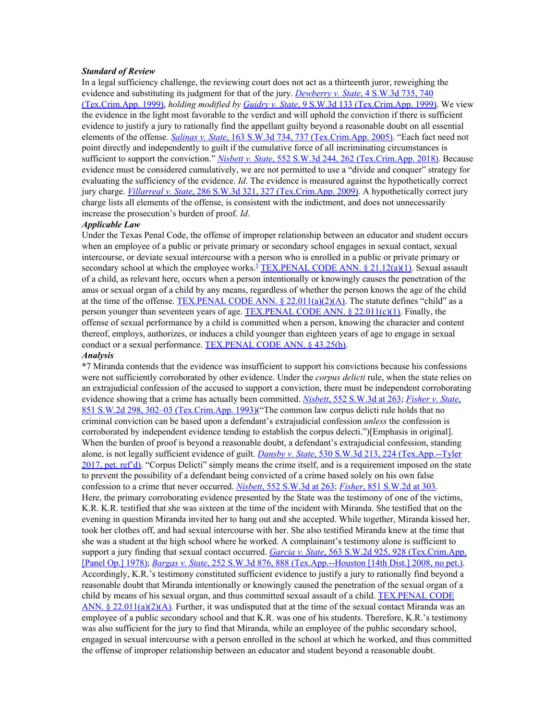#### *Standard of Review*

In a legal sufficiency challenge, the reviewing court does not act as a thirteenth juror, reweighing the evidence and substituting its judgment for that of the jury. *[Dewberry](https://1.next.westlaw.com/Link/Document/FullText?findType=Y&serNum=1999236316&pubNum=0004644&originatingDoc=I265e8880e47b11e8a174b18b713fc6d4&refType=RP&fi=co_pp_sp_4644_740&originationContext=document&transitionType=DocumentItem&contextData=(sc.AlertsClip)#co_pp_sp_4644_740) v. State*, 4 [S.W.3d](https://1.next.westlaw.com/Link/Document/FullText?findType=Y&serNum=1999236316&pubNum=0004644&originatingDoc=I265e8880e47b11e8a174b18b713fc6d4&refType=RP&fi=co_pp_sp_4644_740&originationContext=document&transitionType=DocumentItem&contextData=(sc.AlertsClip)#co_pp_sp_4644_740) 735, 740 [\(Tex.Crim.App.](https://1.next.westlaw.com/Link/Document/FullText?findType=Y&serNum=1999236316&pubNum=0004644&originatingDoc=I265e8880e47b11e8a174b18b713fc6d4&refType=RP&fi=co_pp_sp_4644_740&originationContext=document&transitionType=DocumentItem&contextData=(sc.AlertsClip)#co_pp_sp_4644_740) 1999), *holding modified by [Guidry](https://1.next.westlaw.com/Link/Document/FullText?findType=Y&serNum=1999274891&pubNum=0004644&originatingDoc=I265e8880e47b11e8a174b18b713fc6d4&refType=RP&originationContext=document&transitionType=DocumentItem&contextData=(sc.AlertsClip)) v. State*, 9 S.W.3d 133 [\(Tex.Crim.App.](https://1.next.westlaw.com/Link/Document/FullText?findType=Y&serNum=1999274891&pubNum=0004644&originatingDoc=I265e8880e47b11e8a174b18b713fc6d4&refType=RP&originationContext=document&transitionType=DocumentItem&contextData=(sc.AlertsClip)) 1999). We view the evidence in the light most favorable to the verdict and will uphold the conviction if there is sufficient evidence to justify a jury to rationally find the appellant guilty beyond a reasonable doubt on all essential elements of the offense. *[Salinas](https://1.next.westlaw.com/Link/Document/FullText?findType=Y&serNum=2006605780&pubNum=0004644&originatingDoc=I265e8880e47b11e8a174b18b713fc6d4&refType=RP&fi=co_pp_sp_4644_737&originationContext=document&transitionType=DocumentItem&contextData=(sc.AlertsClip)#co_pp_sp_4644_737) v. State*, 163 S.W.3d 734, 737 [\(Tex.Crim.App.](https://1.next.westlaw.com/Link/Document/FullText?findType=Y&serNum=2006605780&pubNum=0004644&originatingDoc=I265e8880e47b11e8a174b18b713fc6d4&refType=RP&fi=co_pp_sp_4644_737&originationContext=document&transitionType=DocumentItem&contextData=(sc.AlertsClip)#co_pp_sp_4644_737) 2005). "Each fact need not point directly and independently to guilt if the cumulative force of all incriminating circumstances is sufficient to support the conviction." *[Nisbett](https://1.next.westlaw.com/Link/Document/FullText?findType=Y&serNum=2044823220&pubNum=0004644&originatingDoc=I265e8880e47b11e8a174b18b713fc6d4&refType=RP&fi=co_pp_sp_4644_262&originationContext=document&transitionType=DocumentItem&contextData=(sc.AlertsClip)#co_pp_sp_4644_262) v. State*, 552 S.W.3d 244, 262 [\(Tex.Crim.App.](https://1.next.westlaw.com/Link/Document/FullText?findType=Y&serNum=2044823220&pubNum=0004644&originatingDoc=I265e8880e47b11e8a174b18b713fc6d4&refType=RP&fi=co_pp_sp_4644_262&originationContext=document&transitionType=DocumentItem&contextData=(sc.AlertsClip)#co_pp_sp_4644_262) 2018). Because evidence must be considered cumulatively, we are not permitted to use a "divide and conquer" strategy for evaluating the sufficiency of the evidence. *Id*. The evidence is measured against the hypothetically correct jury charge. *[Villarreal](https://1.next.westlaw.com/Link/Document/FullText?findType=Y&serNum=2018733037&pubNum=0004644&originatingDoc=I265e8880e47b11e8a174b18b713fc6d4&refType=RP&fi=co_pp_sp_4644_327&originationContext=document&transitionType=DocumentItem&contextData=(sc.AlertsClip)#co_pp_sp_4644_327) v. State*, 286 S.W.3d 321, 327 [\(Tex.Crim.App.](https://1.next.westlaw.com/Link/Document/FullText?findType=Y&serNum=2018733037&pubNum=0004644&originatingDoc=I265e8880e47b11e8a174b18b713fc6d4&refType=RP&fi=co_pp_sp_4644_327&originationContext=document&transitionType=DocumentItem&contextData=(sc.AlertsClip)#co_pp_sp_4644_327) 2009). A hypothetically correct jury charge lists all elements of the offense, is consistent with the indictment, and does not unnecessarily increase the prosecution's burden of proof. *Id*.

## *Applicable Law*

Under the Texas Penal Code, the offense of improper relationship between an educator and student occurs when an employee of a public or private primary or secondary school engages in sexual contact, sexual intercourse, or deviate sexual intercourse with a person who is enrolled in a public or private primary or secondary school at which the employee works.<sup>[5](https://1.next.westlaw.com/Document/I265e8880e47b11e8a174b18b713fc6d4/View/FullText.html?navigationPath=Alert%2fv1%2flistNavigation%2fWestClipNext%2fi0ad81a3f00000167115a9c83b2cfb7b7%3ftransitionType%3dAlertsClip%26originationContext%3dSearch%2520Result%26contextData%3d%2528sc.AlertsClip%2529%26rank%3d4%26alertGuid%3di0ad083260000014cb89b9df34e1cba1a&listSource=Alert&list=WestClipNext&rank=4&originationContext=Search+Result&transitionType=AlertsClip&contextData=(sc.AlertsClip)&VR=3.0&RS=cblt1.0&alertGuid=i0ad083260000014cb89b9df34e1cba1a&__lrTS=20181116184848018#co_footnote_B00052045952856)</sup> [TEX.PENAL](https://1.next.westlaw.com/Link/Document/FullText?findType=L&pubNum=1000182&cite=TXPES21.12&originatingDoc=I265e8880e47b11e8a174b18b713fc6d4&refType=SP&originationContext=document&transitionType=DocumentItem&contextData=(sc.AlertsClip)#co_pp_7b9b000044381) CODE ANN. § 21.12(a)(1). Sexual assault of a child, as relevant here, occurs when a person intentionally or knowingly causes the penetration of the anus or sexual organ of a child by any means, regardless of whether the person knows the age of the child at the time of the offense. TEX.PENAL CODE ANN.  $\S$  [22.011\(a\)\(2\)\(A\).](https://1.next.westlaw.com/Link/Document/FullText?findType=L&pubNum=1000182&cite=TXPES22.011&originatingDoc=I265e8880e47b11e8a174b18b713fc6d4&refType=SP&originationContext=document&transitionType=DocumentItem&contextData=(sc.AlertsClip)#co_pp_b5120000f7a05) The statute defines "child" as a person younger than seventeen years of age. [TEX.PENAL](https://1.next.westlaw.com/Link/Document/FullText?findType=L&pubNum=1000182&cite=TXPES22.011&originatingDoc=I265e8880e47b11e8a174b18b713fc6d4&refType=SP&originationContext=document&transitionType=DocumentItem&contextData=(sc.AlertsClip)#co_pp_10c0000001331) CODE ANN.  $\S$  22.011(c)(1). Finally, the offense of sexual performance by a child is committed when a person, knowing the character and content thereof, employs, authorizes, or induces a child younger than eighteen years of age to engage in sexual conduct or a sexual performance. [TEX.PENAL](https://1.next.westlaw.com/Link/Document/FullText?findType=L&pubNum=1000182&cite=TXPES43.25&originatingDoc=I265e8880e47b11e8a174b18b713fc6d4&refType=SP&originationContext=document&transitionType=DocumentItem&contextData=(sc.AlertsClip)#co_pp_a83b000018c76) CODE ANN. § 43.25(b).

## *Analysis*

\*7 Miranda contends that the evidence was insufficient to support his convictions because his confessions were not sufficiently corroborated by other evidence. Under the *corpus delicti* rule, when the state relies on an extrajudicial confession of the accused to support a conviction, there must be independent corroborating evidence showing that a crime has actually been committed. *[Nisbett](https://1.next.westlaw.com/Link/Document/FullText?findType=Y&serNum=2044823220&pubNum=0004644&originatingDoc=I265e8880e47b11e8a174b18b713fc6d4&refType=RP&fi=co_pp_sp_4644_263&originationContext=document&transitionType=DocumentItem&contextData=(sc.AlertsClip)#co_pp_sp_4644_263)*, 552 [S.W.3d](https://1.next.westlaw.com/Link/Document/FullText?findType=Y&serNum=2044823220&pubNum=0004644&originatingDoc=I265e8880e47b11e8a174b18b713fc6d4&refType=RP&fi=co_pp_sp_4644_263&originationContext=document&transitionType=DocumentItem&contextData=(sc.AlertsClip)#co_pp_sp_4644_263) at 263; *[Fisher](https://1.next.westlaw.com/Link/Document/FullText?findType=Y&serNum=1993076817&pubNum=0000713&originatingDoc=I265e8880e47b11e8a174b18b713fc6d4&refType=RP&fi=co_pp_sp_713_302&originationContext=document&transitionType=DocumentItem&contextData=(sc.AlertsClip)#co_pp_sp_713_302) v. State*[,](https://1.next.westlaw.com/Link/Document/FullText?findType=Y&serNum=1993076817&pubNum=0000713&originatingDoc=I265e8880e47b11e8a174b18b713fc6d4&refType=RP&fi=co_pp_sp_713_302&originationContext=document&transitionType=DocumentItem&contextData=(sc.AlertsClip)#co_pp_sp_713_302) 851 S.W.2d 298, 302–03 [\(Tex.Crim.App.](https://1.next.westlaw.com/Link/Document/FullText?findType=Y&serNum=1993076817&pubNum=0000713&originatingDoc=I265e8880e47b11e8a174b18b713fc6d4&refType=RP&fi=co_pp_sp_713_302&originationContext=document&transitionType=DocumentItem&contextData=(sc.AlertsClip)#co_pp_sp_713_302) 1993)("The common law corpus delicti rule holds that no criminal conviction can be based upon a defendant's extrajudicial confession *unless* the confession is corroborated by independent evidence tending to establish the corpus delecti.")[Emphasis in original]. When the burden of proof is beyond a reasonable doubt, a defendant's extrajudicial confession, standing alone, is not legally sufficient evidence of guilt. *[Dansby](https://1.next.westlaw.com/Link/Document/FullText?findType=Y&serNum=2041541122&pubNum=0004644&originatingDoc=I265e8880e47b11e8a174b18b713fc6d4&refType=RP&fi=co_pp_sp_4644_224&originationContext=document&transitionType=DocumentItem&contextData=(sc.AlertsClip)#co_pp_sp_4644_224) v. State*, 530 S.W.3d 213, 224 [\(Tex.App.--Tyler](https://1.next.westlaw.com/Link/Document/FullText?findType=Y&serNum=2041541122&pubNum=0004644&originatingDoc=I265e8880e47b11e8a174b18b713fc6d4&refType=RP&fi=co_pp_sp_4644_224&originationContext=document&transitionType=DocumentItem&contextData=(sc.AlertsClip)#co_pp_sp_4644_224) 2017, pet. [ref'd\).](https://1.next.westlaw.com/Link/Document/FullText?findType=Y&serNum=2041541122&pubNum=0004644&originatingDoc=I265e8880e47b11e8a174b18b713fc6d4&refType=RP&fi=co_pp_sp_4644_224&originationContext=document&transitionType=DocumentItem&contextData=(sc.AlertsClip)#co_pp_sp_4644_224) "Corpus Delicti" simply means the crime itself, and is a requirement imposed on the state to prevent the possibility of a defendant being convicted of a crime based solely on his own false confession to a crime that never occurred. *[Nisbett](https://1.next.westlaw.com/Link/Document/FullText?findType=Y&serNum=2044823220&pubNum=0004644&originatingDoc=I265e8880e47b11e8a174b18b713fc6d4&refType=RP&fi=co_pp_sp_4644_263&originationContext=document&transitionType=DocumentItem&contextData=(sc.AlertsClip)#co_pp_sp_4644_263)*, 552 [S.W.3d](https://1.next.westlaw.com/Link/Document/FullText?findType=Y&serNum=2044823220&pubNum=0004644&originatingDoc=I265e8880e47b11e8a174b18b713fc6d4&refType=RP&fi=co_pp_sp_4644_263&originationContext=document&transitionType=DocumentItem&contextData=(sc.AlertsClip)#co_pp_sp_4644_263) at 263; *[Fisher](https://1.next.westlaw.com/Link/Document/FullText?findType=Y&serNum=1993076817&pubNum=0000713&originatingDoc=I265e8880e47b11e8a174b18b713fc6d4&refType=RP&fi=co_pp_sp_713_303&originationContext=document&transitionType=DocumentItem&contextData=(sc.AlertsClip)#co_pp_sp_713_303)*, 851 [S.W.2d](https://1.next.westlaw.com/Link/Document/FullText?findType=Y&serNum=1993076817&pubNum=0000713&originatingDoc=I265e8880e47b11e8a174b18b713fc6d4&refType=RP&fi=co_pp_sp_713_303&originationContext=document&transitionType=DocumentItem&contextData=(sc.AlertsClip)#co_pp_sp_713_303) at 303. Here, the primary corroborating evidence presented by the State was the testimony of one of the victims, K.R. K.R. testified that she was sixteen at the time of the incident with Miranda. She testified that on the evening in question Miranda invited her to hang out and she accepted. While together, Miranda kissed her, took her clothes off, and had sexual intercourse with her. She also testified Miranda knew at the time that she was a student at the high school where he worked. A complainant's testimony alone is sufficient to support a jury finding that sexual contact occurred. *[Garcia](https://1.next.westlaw.com/Link/Document/FullText?findType=Y&serNum=1978111705&pubNum=0000713&originatingDoc=I265e8880e47b11e8a174b18b713fc6d4&refType=RP&fi=co_pp_sp_713_928&originationContext=document&transitionType=DocumentItem&contextData=(sc.AlertsClip)#co_pp_sp_713_928) v. State*, 563 S.W.2d 925, 928 [\(Tex.Crim.App.](https://1.next.westlaw.com/Link/Document/FullText?findType=Y&serNum=1978111705&pubNum=0000713&originatingDoc=I265e8880e47b11e8a174b18b713fc6d4&refType=RP&fi=co_pp_sp_713_928&originationContext=document&transitionType=DocumentItem&contextData=(sc.AlertsClip)#co_pp_sp_713_928) [\[Panel](https://1.next.westlaw.com/Link/Document/FullText?findType=Y&serNum=1978111705&pubNum=0000713&originatingDoc=I265e8880e47b11e8a174b18b713fc6d4&refType=RP&fi=co_pp_sp_713_928&originationContext=document&transitionType=DocumentItem&contextData=(sc.AlertsClip)#co_pp_sp_713_928) Op.] 1978); *[Bargas](https://1.next.westlaw.com/Link/Document/FullText?findType=Y&serNum=2016087456&pubNum=0004644&originatingDoc=I265e8880e47b11e8a174b18b713fc6d4&refType=RP&fi=co_pp_sp_4644_888&originationContext=document&transitionType=DocumentItem&contextData=(sc.AlertsClip)#co_pp_sp_4644_888) v. State*, 252 S.W.3d 876, 888 [\(Tex.App.--Houston](https://1.next.westlaw.com/Link/Document/FullText?findType=Y&serNum=2016087456&pubNum=0004644&originatingDoc=I265e8880e47b11e8a174b18b713fc6d4&refType=RP&fi=co_pp_sp_4644_888&originationContext=document&transitionType=DocumentItem&contextData=(sc.AlertsClip)#co_pp_sp_4644_888) [14th Dist.] 2008, no pet.). Accordingly, K.R.'s testimony constituted sufficient evidence to justify a jury to rationally find beyond a reasonable doubt that Miranda intentionally or knowingly caused the penetration of the sexual organ of a child by means of his sexual organ, and thus committed sexual assault of a child. [TEX.PENAL](https://1.next.westlaw.com/Link/Document/FullText?findType=L&pubNum=1000182&cite=TXPES22.011&originatingDoc=I265e8880e47b11e8a174b18b713fc6d4&refType=SP&originationContext=document&transitionType=DocumentItem&contextData=(sc.AlertsClip)#co_pp_b5120000f7a05) CODE ANN. § [22.011\(a\)\(2\)\(A\)](https://1.next.westlaw.com/Link/Document/FullText?findType=L&pubNum=1000182&cite=TXPES22.011&originatingDoc=I265e8880e47b11e8a174b18b713fc6d4&refType=SP&originationContext=document&transitionType=DocumentItem&contextData=(sc.AlertsClip)#co_pp_b5120000f7a05). Further, it was undisputed that at the time of the sexual contact Miranda was an employee of a public secondary school and that K.R. was one of his students. Therefore, K.R.'s testimony was also sufficient for the jury to find that Miranda, while an employee of the public secondary school, engaged in sexual intercourse with a person enrolled in the school at which he worked, and thus committed the offense of improper relationship between an educator and student beyond a reasonable doubt.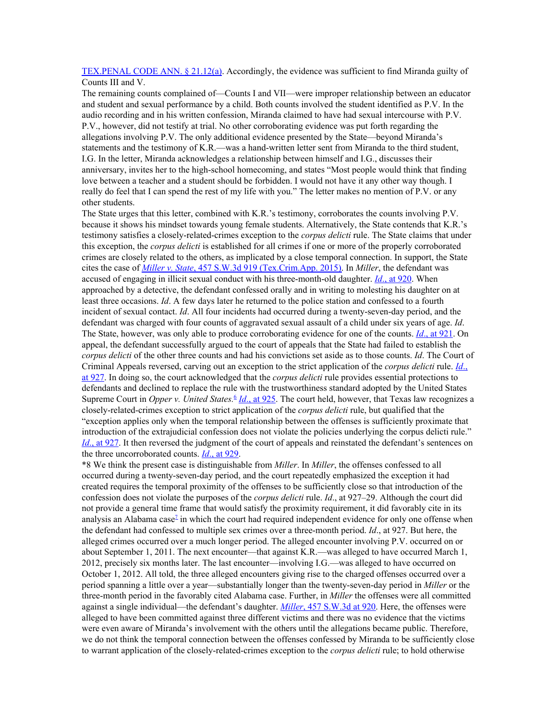[TEX.PENAL](https://1.next.westlaw.com/Link/Document/FullText?findType=L&pubNum=1000182&cite=TXPES21.12&originatingDoc=I265e8880e47b11e8a174b18b713fc6d4&refType=SP&originationContext=document&transitionType=DocumentItem&contextData=(sc.AlertsClip)#co_pp_8b3b0000958a4) CODE ANN. § 21.12(a). Accordingly, the evidence was sufficient to find Miranda guilty of Counts III and V.

The remaining counts complained of—Counts I and VII—were improper relationship between an educator and student and sexual performance by a child. Both counts involved the student identified as P.V. In the audio recording and in his written confession, Miranda claimed to have had sexual intercourse with P.V. P.V., however, did not testify at trial. No other corroborating evidence was put forth regarding the allegations involving P.V. The only additional evidence presented by the State—beyond Miranda's statements and the testimony of K.R.—was a hand-written letter sent from Miranda to the third student, I.G. In the letter, Miranda acknowledges a relationship between himself and I.G., discusses their anniversary, invites her to the high-school homecoming, and states "Most people would think that finding love between a teacher and a student should be forbidden. I would not have it any other way though. I really do feel that I can spend the rest of my life with you." The letter makes no mention of P.V. or any other students.

The State urges that this letter, combined with K.R.'s testimony, corroborates the counts involving P.V. because it shows his mindset towards young female students. Alternatively, the State contends that K.R.'s testimony satisfies a closely-related-crimes exception to the *corpus delicti* rule. The State claims that under this exception, the *corpus delicti* is established for all crimes if one or more of the properly corroborated crimes are closely related to the others, as implicated by a close temporal connection. In support, the State cites the case of *[Miller](https://1.next.westlaw.com/Link/Document/FullText?findType=Y&serNum=2035817206&pubNum=0004644&originatingDoc=I265e8880e47b11e8a174b18b713fc6d4&refType=RP&originationContext=document&transitionType=DocumentItem&contextData=(sc.AlertsClip)) v. State*, 457 S.W.3d 919 [\(Tex.Crim.App.](https://1.next.westlaw.com/Link/Document/FullText?findType=Y&serNum=2035817206&pubNum=0004644&originatingDoc=I265e8880e47b11e8a174b18b713fc6d4&refType=RP&originationContext=document&transitionType=DocumentItem&contextData=(sc.AlertsClip)) 2015). In *Miller*, the defendant was accused of engaging in illicit sexual conduct with his three-month-old daughter. *[Id](https://1.next.westlaw.com/Link/Document/FullText?findType=Y&serNum=2035817206&pubNum=0004644&originatingDoc=I265e8880e47b11e8a174b18b713fc6d4&refType=RP&fi=co_pp_sp_4644_920&originationContext=document&transitionType=DocumentItem&contextData=(sc.AlertsClip)#co_pp_sp_4644_920)*., at [920](https://1.next.westlaw.com/Link/Document/FullText?findType=Y&serNum=2035817206&pubNum=0004644&originatingDoc=I265e8880e47b11e8a174b18b713fc6d4&refType=RP&fi=co_pp_sp_4644_920&originationContext=document&transitionType=DocumentItem&contextData=(sc.AlertsClip)#co_pp_sp_4644_920). When approached by a detective, the defendant confessed orally and in writing to molesting his daughter on at least three occasions. *Id*. A few days later he returned to the police station and confessed to a fourth incident of sexual contact. *Id*. All four incidents had occurred during a twenty-seven-day period, and the defendant was charged with four counts of aggravated sexual assault of a child under six years of age. *Id*. The State, however, was only able to produce corroborating evidence for one of the counts. *[Id](https://1.next.westlaw.com/Link/Document/FullText?findType=Y&serNum=2035817206&pubNum=0004644&originatingDoc=I265e8880e47b11e8a174b18b713fc6d4&refType=RP&fi=co_pp_sp_4644_921&originationContext=document&transitionType=DocumentItem&contextData=(sc.AlertsClip)#co_pp_sp_4644_921)*., at [921](https://1.next.westlaw.com/Link/Document/FullText?findType=Y&serNum=2035817206&pubNum=0004644&originatingDoc=I265e8880e47b11e8a174b18b713fc6d4&refType=RP&fi=co_pp_sp_4644_921&originationContext=document&transitionType=DocumentItem&contextData=(sc.AlertsClip)#co_pp_sp_4644_921). On appeal, the defendant successfully argued to the court of appeals that the State had failed to establish the *corpus delicti* of the other three counts and had his convictions set aside as to those counts. *Id*. The Court of Criminal Appeals reversed, carving out an exception to the strict application of the *corpus delicti* rule. *[Id](https://1.next.westlaw.com/Link/Document/FullText?findType=Y&serNum=2035817206&pubNum=0004644&originatingDoc=I265e8880e47b11e8a174b18b713fc6d4&refType=RP&fi=co_pp_sp_4644_927&originationContext=document&transitionType=DocumentItem&contextData=(sc.AlertsClip)#co_pp_sp_4644_927)*[.,](https://1.next.westlaw.com/Link/Document/FullText?findType=Y&serNum=2035817206&pubNum=0004644&originatingDoc=I265e8880e47b11e8a174b18b713fc6d4&refType=RP&fi=co_pp_sp_4644_927&originationContext=document&transitionType=DocumentItem&contextData=(sc.AlertsClip)#co_pp_sp_4644_927) at [927.](https://1.next.westlaw.com/Link/Document/FullText?findType=Y&serNum=2035817206&pubNum=0004644&originatingDoc=I265e8880e47b11e8a174b18b713fc6d4&refType=RP&fi=co_pp_sp_4644_927&originationContext=document&transitionType=DocumentItem&contextData=(sc.AlertsClip)#co_pp_sp_4644_927) In doing so, the court acknowledged that the *corpus delicti* rule provides essential protections to defendants and declined to replace the rule with the trustworthiness standard adopted by the United States Supreme Court in *Opper v. United States*.<sup>[6](https://1.next.westlaw.com/Document/I265e8880e47b11e8a174b18b713fc6d4/View/FullText.html?navigationPath=Alert%2fv1%2flistNavigation%2fWestClipNext%2fi0ad81a3f00000167115a9c83b2cfb7b7%3ftransitionType%3dAlertsClip%26originationContext%3dSearch%2520Result%26contextData%3d%2528sc.AlertsClip%2529%26rank%3d4%26alertGuid%3di0ad083260000014cb89b9df34e1cba1a&listSource=Alert&list=WestClipNext&rank=4&originationContext=Search+Result&transitionType=AlertsClip&contextData=(sc.AlertsClip)&VR=3.0&RS=cblt1.0&alertGuid=i0ad083260000014cb89b9df34e1cba1a&__lrTS=20181116184848018#co_footnote_B00062045952856)</sup> *<u>[Id](https://1.next.westlaw.com/Link/Document/FullText?findType=Y&serNum=2035817206&pubNum=0004644&originatingDoc=I265e8880e47b11e8a174b18b713fc6d4&refType=RP&fi=co_pp_sp_4644_925&originationContext=document&transitionType=DocumentItem&contextData=(sc.AlertsClip)#co_pp_sp_4644_925)., at [925](https://1.next.westlaw.com/Link/Document/FullText?findType=Y&serNum=2035817206&pubNum=0004644&originatingDoc=I265e8880e47b11e8a174b18b713fc6d4&refType=RP&fi=co_pp_sp_4644_925&originationContext=document&transitionType=DocumentItem&contextData=(sc.AlertsClip)#co_pp_sp_4644_925)</u>. The court held, however, that Texas law recognizes a* closely-related-crimes exception to strict application of the *corpus delicti* rule, but qualified that the "exception applies only when the temporal relationship between the offenses is sufficiently proximate that introduction of the extrajudicial confession does not violate the policies underlying the corpus delicti rule." *[Id](https://1.next.westlaw.com/Link/Document/FullText?findType=Y&serNum=2035817206&pubNum=0004644&originatingDoc=I265e8880e47b11e8a174b18b713fc6d4&refType=RP&fi=co_pp_sp_4644_927&originationContext=document&transitionType=DocumentItem&contextData=(sc.AlertsClip)#co_pp_sp_4644_927).*, at [927](https://1.next.westlaw.com/Link/Document/FullText?findType=Y&serNum=2035817206&pubNum=0004644&originatingDoc=I265e8880e47b11e8a174b18b713fc6d4&refType=RP&fi=co_pp_sp_4644_927&originationContext=document&transitionType=DocumentItem&contextData=(sc.AlertsClip)#co_pp_sp_4644_927). It then reversed the judgment of the court of appeals and reinstated the defendant's sentences on the three uncorroborated counts. *[Id](https://1.next.westlaw.com/Link/Document/FullText?findType=Y&serNum=2035817206&pubNum=0004644&originatingDoc=I265e8880e47b11e8a174b18b713fc6d4&refType=RP&fi=co_pp_sp_4644_929&originationContext=document&transitionType=DocumentItem&contextData=(sc.AlertsClip)#co_pp_sp_4644_929)*., at [929](https://1.next.westlaw.com/Link/Document/FullText?findType=Y&serNum=2035817206&pubNum=0004644&originatingDoc=I265e8880e47b11e8a174b18b713fc6d4&refType=RP&fi=co_pp_sp_4644_929&originationContext=document&transitionType=DocumentItem&contextData=(sc.AlertsClip)#co_pp_sp_4644_929).

\*8 We think the present case is distinguishable from *Miller*. In *Miller*, the offenses confessed to all occurred during a twenty-seven-day period, and the court repeatedly emphasized the exception it had created requires the temporal proximity of the offenses to be sufficiently close so that introduction of the confession does not violate the purposes of the *corpus delicti* rule. *Id*., at 927–29. Although the court did not provide a general time frame that would satisfy the proximity requirement, it did favorably cite in its analysis an Alabama case<sup> $2$ </sup> in which the court had required independent evidence for only one offense when the defendant had confessed to multiple sex crimes over a three-month period. *Id*., at 927. But here, the alleged crimes occurred over a much longer period. The alleged encounter involving P.V. occurred on or about September 1, 2011. The next encounter—that against K.R.—was alleged to have occurred March 1, 2012, precisely six months later. The last encounter—involving I.G.—was alleged to have occurred on October 1, 2012. All told, the three alleged encounters giving rise to the charged offenses occurred over a period spanning a little over a year—substantially longer than the twenty-seven-day period in *Miller* or the three-month period in the favorably cited Alabama case. Further, in *Miller* the offenses were all committed against a single individual—the defendant's daughter. *[Miller](https://1.next.westlaw.com/Link/Document/FullText?findType=Y&serNum=2035817206&pubNum=0004644&originatingDoc=I265e8880e47b11e8a174b18b713fc6d4&refType=RP&fi=co_pp_sp_4644_920&originationContext=document&transitionType=DocumentItem&contextData=(sc.AlertsClip)#co_pp_sp_4644_920)*, 457 [S.W.3d](https://1.next.westlaw.com/Link/Document/FullText?findType=Y&serNum=2035817206&pubNum=0004644&originatingDoc=I265e8880e47b11e8a174b18b713fc6d4&refType=RP&fi=co_pp_sp_4644_920&originationContext=document&transitionType=DocumentItem&contextData=(sc.AlertsClip)#co_pp_sp_4644_920) at 920. Here, the offenses were alleged to have been committed against three different victims and there was no evidence that the victims were even aware of Miranda's involvement with the others until the allegations became public. Therefore, we do not think the temporal connection between the offenses confessed by Miranda to be sufficiently close to warrant application of the closely-related-crimes exception to the *corpus delicti* rule; to hold otherwise